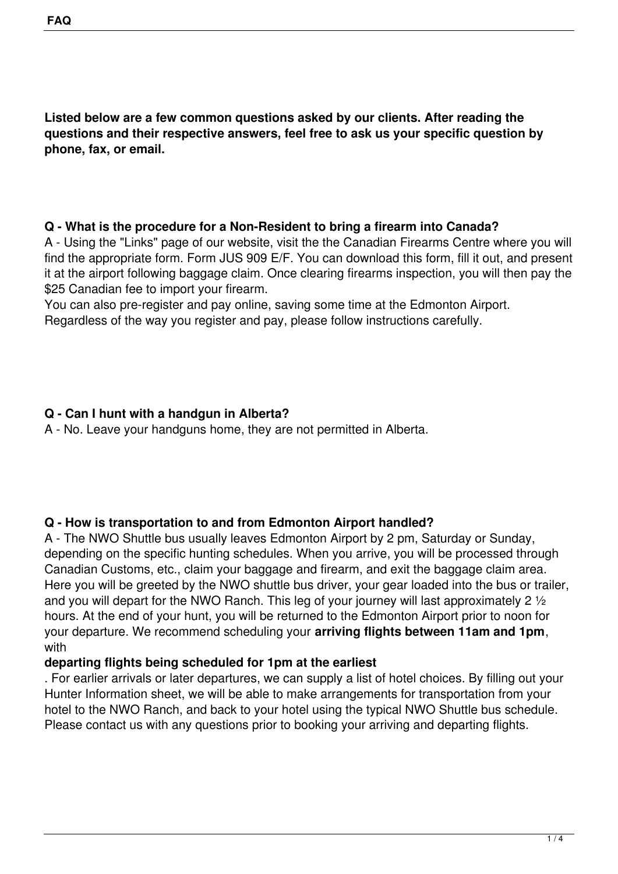**Listed below are a few common questions asked by our clients. After reading the questions and their respective answers, feel free to ask us your specific question by phone, fax, or email.**

#### **Q - What is the procedure for a Non-Resident to bring a firearm into Canada?**

A - Using the "Links" page of our website, visit the the Canadian Firearms Centre where you will find the appropriate form. Form JUS 909 E/F. You can download this form, fill it out, and present it at the airport following baggage claim. Once clearing firearms inspection, you will then pay the \$25 Canadian fee to import your firearm.

You can also pre-register and pay online, saving some time at the Edmonton Airport. Regardless of the way you register and pay, please follow instructions carefully.

## **Q - Can I hunt with a handgun in Alberta?**

A - No. Leave your handguns home, they are not permitted in Alberta.

# **Q - How is transportation to and from Edmonton Airport handled?**

A - The NWO Shuttle bus usually leaves Edmonton Airport by 2 pm, Saturday or Sunday, depending on the specific hunting schedules. When you arrive, you will be processed through Canadian Customs, etc., claim your baggage and firearm, and exit the baggage claim area. Here you will be greeted by the NWO shuttle bus driver, your gear loaded into the bus or trailer, and you will depart for the NWO Ranch. This leg of your journey will last approximately 2 1/2 hours. At the end of your hunt, you will be returned to the Edmonton Airport prior to noon for your departure. We recommend scheduling your **arriving flights between 11am and 1pm**, with

### **departing flights being scheduled for 1pm at the earliest**

. For earlier arrivals or later departures, we can supply a list of hotel choices. By filling out your Hunter Information sheet, we will be able to make arrangements for transportation from your hotel to the NWO Ranch, and back to your hotel using the typical NWO Shuttle bus schedule. Please contact us with any questions prior to booking your arriving and departing flights.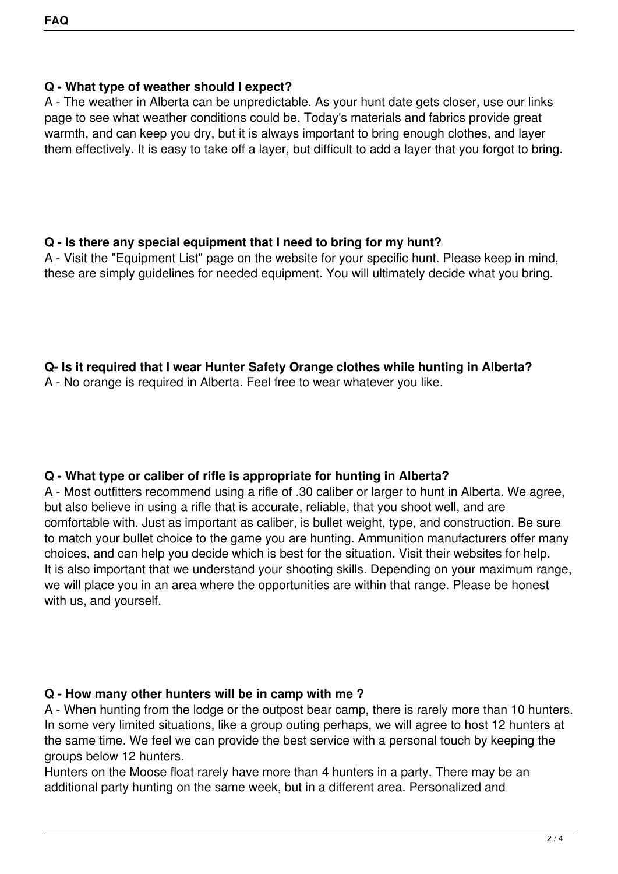### **Q - What type of weather should I expect?**

A - The weather in Alberta can be unpredictable. As your hunt date gets closer, use our links page to see what weather conditions could be. Today's materials and fabrics provide great warmth, and can keep you dry, but it is always important to bring enough clothes, and layer them effectively. It is easy to take off a layer, but difficult to add a layer that you forgot to bring.

#### **Q - Is there any special equipment that I need to bring for my hunt?**

A - Visit the "Equipment List" page on the website for your specific hunt. Please keep in mind, these are simply guidelines for needed equipment. You will ultimately decide what you bring.

### **Q- Is it required that I wear Hunter Safety Orange clothes while hunting in Alberta?**

A - No orange is required in Alberta. Feel free to wear whatever you like.

### **Q - What type or caliber of rifle is appropriate for hunting in Alberta?**

A - Most outfitters recommend using a rifle of .30 caliber or larger to hunt in Alberta. We agree, but also believe in using a rifle that is accurate, reliable, that you shoot well, and are comfortable with. Just as important as caliber, is bullet weight, type, and construction. Be sure to match your bullet choice to the game you are hunting. Ammunition manufacturers offer many choices, and can help you decide which is best for the situation. Visit their websites for help. It is also important that we understand your shooting skills. Depending on your maximum range, we will place you in an area where the opportunities are within that range. Please be honest with us, and yourself.

### **Q - How many other hunters will be in camp with me ?**

A - When hunting from the lodge or the outpost bear camp, there is rarely more than 10 hunters. In some very limited situations, like a group outing perhaps, we will agree to host 12 hunters at the same time. We feel we can provide the best service with a personal touch by keeping the groups below 12 hunters.

Hunters on the Moose float rarely have more than 4 hunters in a party. There may be an additional party hunting on the same week, but in a different area. Personalized and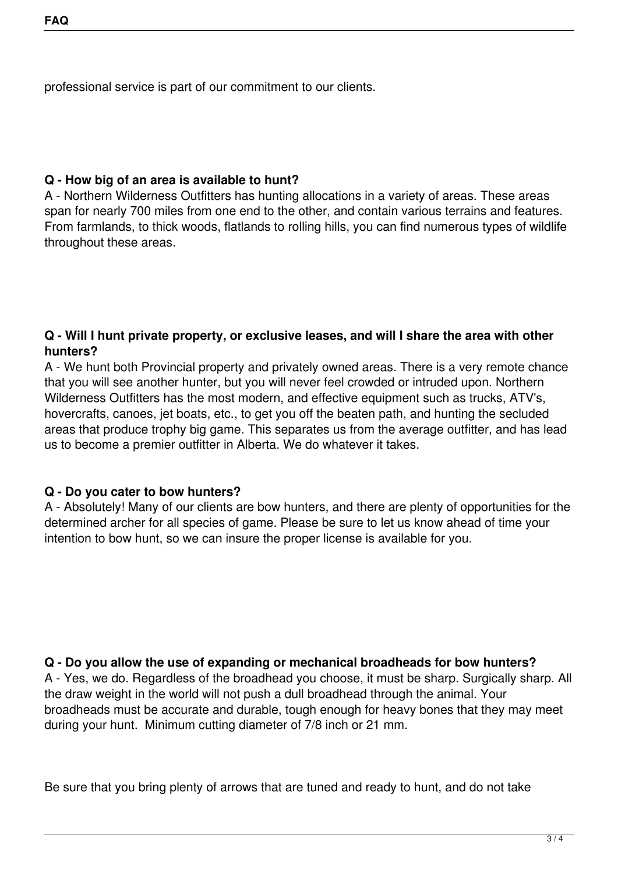professional service is part of our commitment to our clients.

#### **Q - How big of an area is available to hunt?**

A - Northern Wilderness Outfitters has hunting allocations in a variety of areas. These areas span for nearly 700 miles from one end to the other, and contain various terrains and features. From farmlands, to thick woods, flatlands to rolling hills, you can find numerous types of wildlife throughout these areas.

#### **Q - Will I hunt private property, or exclusive leases, and will I share the area with other hunters?**

A - We hunt both Provincial property and privately owned areas. There is a very remote chance that you will see another hunter, but you will never feel crowded or intruded upon. Northern Wilderness Outfitters has the most modern, and effective equipment such as trucks, ATV's, hovercrafts, canoes, jet boats, etc., to get you off the beaten path, and hunting the secluded areas that produce trophy big game. This separates us from the average outfitter, and has lead us to become a premier outfitter in Alberta. We do whatever it takes.

### **Q - Do you cater to bow hunters?**

A - Absolutely! Many of our clients are bow hunters, and there are plenty of opportunities for the determined archer for all species of game. Please be sure to let us know ahead of time your intention to bow hunt, so we can insure the proper license is available for you.

### **Q - Do you allow the use of expanding or mechanical broadheads for bow hunters?**

A - Yes, we do. Regardless of the broadhead you choose, it must be sharp. Surgically sharp. All the draw weight in the world will not push a dull broadhead through the animal. Your broadheads must be accurate and durable, tough enough for heavy bones that they may meet during your hunt. Minimum cutting diameter of 7/8 inch or 21 mm.

Be sure that you bring plenty of arrows that are tuned and ready to hunt, and do not take